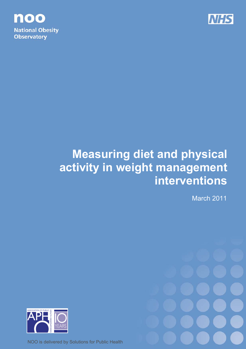

noo **National Obesity Observatory** 

# **Measuring diet and physical activity in weight management interventions**

March 2011



NOO is delivered by Solutions for Public Health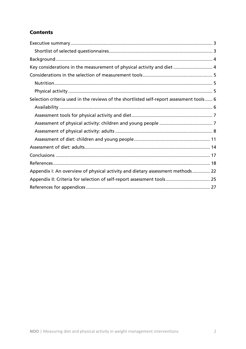# **Contents**

| Key considerations in the measurement of physical activity and diet 4                    |
|------------------------------------------------------------------------------------------|
|                                                                                          |
|                                                                                          |
|                                                                                          |
| Selection criteria used in the reviews of the shortlisted self-report assessment tools 6 |
|                                                                                          |
|                                                                                          |
|                                                                                          |
|                                                                                          |
|                                                                                          |
|                                                                                          |
|                                                                                          |
|                                                                                          |
| Appendix I: An overview of physical activity and dietary assessment methods 22           |
| Appendix II: Criteria for selection of self-report assessment tools 25                   |
|                                                                                          |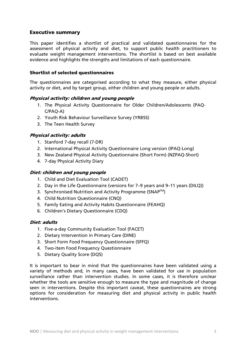# Executive summary

This paper identifies a shortlist of practical and validated questionnaires for the assessment of physical activity and diet, to support public health practitioners to evaluate weight management interventions. The shortlist is based on best available evidence and highlights the strengths and limitations of each questionnaire.

#### Shortlist of selected questionnaires

The questionnaires are categorised according to what they measure, either physical activity or diet, and by target group, either children and young people or adults.

#### Physical activity: children and young people

- 1. The Physical Activity Questionnaire for Older Children/Adolescents (PAQ-C/PAQ-A)
- 2. Youth Risk Behaviour Surveillance Survey (YRBSS)
- 3. The Teen Health Survey

# Physical activity: adults

- 1. Stanford 7-day recall (7-DR)
- 2. International Physical Activity Questionnaire Long version (IPAQ-Long)
- 3. New Zealand Physical Activity Questionnaire (Short Form) (NZPAQ-Short)
- 4. 7-day Physical Activity Diary

#### Diet: children and young people

- 1. Child and Diet Evaluation Tool (CADET)
- 2. Day in the Life Questionnaire (versions for 7–9 years and 9–11 years (DILQ))
- 3. Synchronised Nutrition and Activity Programme (SNAP™)
- 4. Child Nutrition Questionnaire (CNQ)
- 5. Family Eating and Activity Habits Questionnaire (FEAHQ)
- 6. Children's Dietary Questionnaire (CDQ)

#### Diet: adults

- 1. Five-a-day Community Evaluation Tool (FACET)
- 2. Dietary Intervention in Primary Care (DINE)
- 3. Short Form Food Frequency Questionnaire (SFFQ)
- 4. Two-item Food Frequency Questionnaire
- 5. Dietary Quality Score (DQS)

It is important to bear in mind that the questionnaires have been validated using a variety of methods and, in many cases, have been validated for use in population surveillance rather than intervention studies. In some cases, it is therefore unclear whether the tools are sensitive enough to measure the type and magnitude of change seen in interventions. Despite this important caveat, these questionnaires are strong options for consideration for measuring diet and physical activity in public health interventions.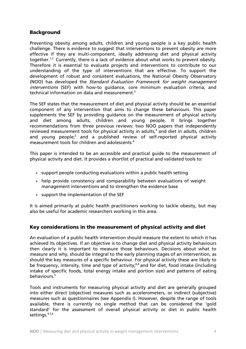# Background

Preventing obesity among adults, children and young people is a key public health challenge. There is evidence to suggest that interventions to prevent obesity are more effective if they are multi-component, ideally addressing diet and physical activity together.<sup>1,2</sup> Currently, there is a lack of evidence about what works to prevent obesity. Therefore it is essential to evaluate projects and interventions to contribute to our understanding of the type of interventions that are effective. To support the development of robust and consistent evaluations, the National Obesity Observatory (NOO) has developed the Standard Evaluation Framework for weight management interventions (SEF) with how-to quidance, core minimum evaluation criteria, and technical information on data and measurement.<sup>3</sup>

The SEF states that the measurement of diet and physical activity should be an essential component of any intervention that aims to change these behaviours. This paper supplements the SEF by providing guidance on the measurement of physical activity and diet among adults, children and young people. It brings together recommendations from three previous reviews: two NOO papers that independently reviewed measurement tools for physical activity in adults,<sup>4</sup> and diet in adults, children and young people;<sup>5</sup> and a published review of self-reported physical activity measurement tools for children and adolescents.<sup>6</sup>

This paper is intended to be an accessible and practical guide to the measurement of physical activity and diet. It provides a shortlist of practical and validated tools to:

- support people conducting evaluations within a public health setting
- help provide consistency and comparability between evaluations of weight management interventions and to strengthen the evidence base
- support the implementation of the SEF

It is aimed primarily at public health practitioners working to tackle obesity, but may also be useful for academic researchers working in this area.

# Key considerations in the measurement of physical activity and diet

An evaluation of a public health intervention should measure the extent to which it has achieved its objectives. If an objective is to change diet and physical activity behaviours then clearly it is important to measure those behaviours. Decisions about what to measure and why, should be integral to the early planning stages of an intervention, as should the key measures of a specific behaviour. For physical activity these are likely to be frequency, intensity, time and type of activity;<sup>6,4</sup> and for diet, food intake (including intake of specific foods, total energy intake and portion size) and patterns of eating behaviours.<sup>5</sup>

Tools and instruments for measuring physical activity and diet are generally grouped into either direct (objective) measures such as accelerometers, or indirect (subjective) measures such as questionnaires (see Appendix I). However, despite the range of tools available, there is currently no single method that can be considered the 'gold standard' for the assessment of overall physical activity or diet in public health settings.<sup>4,5,6</sup>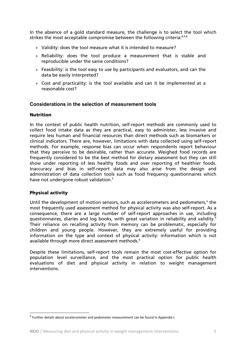In the absence of a gold standard measure, the challenge is to select the tool which strikes the most acceptable compromise between the following criteria:<sup>4,5,6</sup>

- Validity: does the tool measure what it is intended to measure?
- Reliability: does the tool produce a measurement that is stable and reproducible under the same conditions?
- Feasibility: is the tool easy to use by participants and evaluators, and can the data be easily interpreted?
- Cost and practicality: is the tool available and can it be implemented at a reasonable cost?

#### **Considerations in the selection of measurement tools**

#### **Nutrition**

In the context of public health nutrition, self-report methods are commonly used to collect food intake data as they are practical, easy to administer, less invasive and require less human and financial resources than direct methods such as biomarkers or clinical indicators. There are, however, limitations with data collected using self-report methods. For example, response bias can occur when respondents report behaviour that they perceive to be desirable, rather than accurate. Weighed food records are frequently considered to be the best method for dietary assessment but they can still show under reporting of less healthy foods and over reporting of healthier foods. Inaccuracy and bias in self-report data may also arise from the design and administration of data collection tools such as food frequency questionnaires which have not undergone robust validation.<sup>5</sup>

#### Physical activity

 $\overline{a}$ 

Until the development of motion sensors, such as accelerometers and pedometers,<sup>a</sup> the most frequently used assessment method for physical activity was also self-report. As a consequence, there are a large number of self-report approaches in use, including questionnaires, diaries and log books, with great variation in reliability and validity.6 Their reliance on recalling activity from memory can be problematic, especially for children and young people. However, they are extremely useful for providing information on the type and context of physical activity: information which is not available through more direct assessment methods.<sup>6</sup>

Despite these limitations, self-report tools remain the most cost-effective option for population level surveillance, and the most practical option for public health evaluations of diet and physical activity in relation to weight management interventions.

<sup>&</sup>lt;sup>a</sup> Further details about accelerometer and pedometer measurement can be found in Appendix I.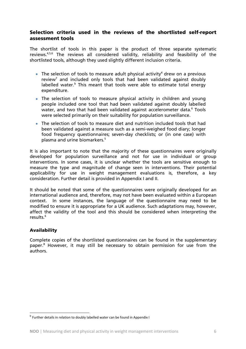# Selection criteria used in the reviews of the shortlisted self-report assessment tools

The shortlist of tools in this paper is the product of three separate systematic reviews.4,5,6 The reviews all considered validity, reliability and feasibility of the shortlisted tools, although they used slightly different inclusion criteria.

- The selection of tools to measure adult physical activity<sup>4</sup> drew on a previous review<sup>7</sup> and included only tools that had been validated against doubly labelled water.<sup>b</sup> This meant that tools were able to estimate total energy expenditure.
- The selection of tools to measure physical activity in children and young people included one tool that had been validated against doubly labelled water, and two that had been validated against accelerometer data.<sup>6</sup> Tools were selected primarily on their suitability for population surveillance.
- The selection of tools to measure diet and nutrition included tools that had been validated against a measure such as a semi-weighed food diary; longer food frequency questionnaires; seven-day checklists; or (in one case) with plasma and urine biomarkers.<sup>5</sup>

It is also important to note that the majority of these questionnaires were originally developed for population surveillance and not for use in individual or group interventions. In some cases, it is unclear whether the tools are sensitive enough to measure the type and magnitude of change seen in interventions. Their potential applicability for use in weight management evaluations is, therefore, a key consideration. Further detail is provided in Appendix I and II.

It should be noted that some of the questionnaires were originally developed for an international audience and, therefore, may not have been evaluated within a European context. In some instances, the language of the questionnaire may need to be modified to ensure it is appropriate for a UK audience. Such adaptations may, however, affect the validity of the tool and this should be considered when interpreting the results<sup>6</sup>

# Availability

 $\overline{a}$ 

Complete copies of the shortlisted questionnaires can be found in the supplementary paper.<sup>8</sup> However, it may still be necessary to obtain permission for use from the authors.

<sup>&</sup>lt;sup>b</sup> Further details in relation to doubly labelled water can be found in Appendix I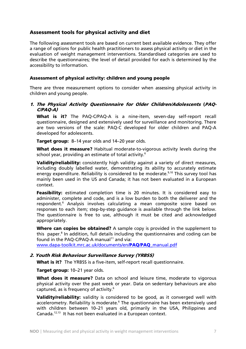# Assessment tools for physical activity and diet

The following assessment tools are based on current best available evidence. They offer a range of options for public health practitioners to assess physical activity or diet in the evaluation of weight management interventions. Standardised categories are used to describe the questionnaires; the level of detail provided for each is determined by the accessibility to information.

#### Assessment of physical activity: children and young people

There are three measurement options to consider when assessing physical activity in children and young people.

#### 1. The Physical Activity Questionnaire for Older Children/Adolescents (PAQ-C/PAQ-A)

What is it? The PAQ-C/PAQ-A is a nine-item, seven-day self-report recall questionnaire, designed and extensively used for surveillance and monitoring. There are two versions of the scale: PAQ-C developed for older children and PAQ-A developed for adolescents.

**Target group:** 8–14 year olds and 14–20 year olds.

What does it measure? Habitual moderate-to-vigorous activity levels during the school year, providing an estimate of total activity.<sup>6</sup>

Validity/reliability: consistently high validity against a variety of direct measures, including doubly labelled water, demonstrating its ability to accurately estimate energy expenditure. Reliability is considered to be moderate.<sup>9,10</sup> This survey tool has mainly been used in the US and Canada; it has not been evaluated in a European context.

Feasibility: estimated completion time is 20 minutes. It is considered easy to administer, complete and code, and is a low burden to both the deliverer and the respondent.<sup>6</sup> Analysis involves calculating a mean composite score based on responses to each item; step-by-step guidance is available through the link below. The questionnaire is free to use, although it must be cited and acknowledged appropriately.

Where can copies be obtained? A sample copy is provided in the supplement to this paper.<sup>8</sup> In addition, full details including the questionnaires and coding can be found in the PAQ-C/PAQ-A manual<sup>11</sup> and via:

www.dapa-toolkit.mrc.ac.uk/documents/en/PAQ/PAQ\_manual.pdf

#### 2. Youth Risk Behaviour Surveillance Survey (YRBSS)

What is it? The YRBSS is a five-item, self-report recall questionnaire.

Target group: 10-21 year olds.

What does it measure? Data on school and leisure time, moderate to vigorous physical activity over the past week or year. Data on sedentary behaviours are also captured, as is frequency of activity.6

Validity/reliability: validity is considered to be good, as it converged well with accelerometry. Reliability is moderate.<sup>6</sup> The questionnaire has been extensively used with children between 10–21 years old, primarily in the USA, Philippines and Canada.12,13 It has not been evaluated in a European context.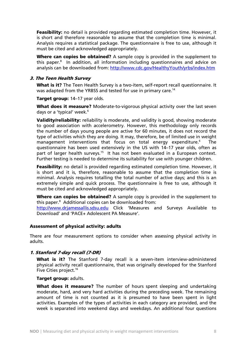Feasibility: no detail is provided regarding estimated completion time. However, it is short and therefore reasonable to assume that the completion time is minimal. Analysis requires a statistical package. The questionnaire is free to use, although it must be cited and acknowledged appropriately.

Where can copies be obtained? A sample copy is provided in the supplement to this paper.<sup>8</sup> In addition, all information including questionnaires and advice on analysis can be downloaded from: http://www.cdc.gov/HealthyYouth/yrbs/index.htm

#### 3. The Teen Health Survey

What is it? The Teen Health Survey is a two-item, self-report recall questionnaire. It was adapted from the YRBSS and tested for use in primary care.<sup>14</sup>

Target group: 14–17 year olds.

What does it measure? Moderate-to-vigorous physical activity over the last seven days or a 'typical' week.<sup>6</sup>

Validity/reliability: reliability is moderate, and validity is good, showing moderate to good association with accelerometry. However, this methodology only records the number of days young people are active for 60 minutes, it does not record the type of activities which they are doing. It may, therefore, be of limited use in weight management interventions that focus on total energy expenditure.<sup>6</sup> The questionnaire has been used extensively in the US with 14–17 year olds, often as part of larger health surveys.<sup>15</sup> It has not been evaluated in a European context. Further testing is needed to determine its suitability for use with younger children.

Feasibility: no detail is provided regarding estimated completion time. However, it is short and it is, therefore, reasonable to assume that the completion time is minimal. Analysis requires totalling the total number of active days; and this is an extremely simple and quick process. The questionnaire is free to use, although it must be cited and acknowledged appropriately.

**Where can copies be obtained?** A sample copy is provided in the supplement to this paper.<sup>8</sup> Additional copies can be downloaded from:

http://www.drjamessallis.sdsu.edu Click 'Measures and Surveys Available to Download' and 'PACE+ Adolescent PA Measure'.

#### Assessment of physical activity: adults

There are four measurement options to consider when assessing physical activity in adults.

#### 1. Stanford 7-day recall (7-DR)

What is it? The Stanford 7-day recall is a seven-item interview-administered physical activity recall questionnaire, that was originally developed for the Stanford Five Cities project.<sup>16</sup>

#### Target group: adults.

What does it measure? The number of hours spent sleeping and undertaking moderate, hard, and very hard activities during the preceding week. The remaining amount of time is not counted as it is presumed to have been spent in light activities. Examples of the types of activities in each category are provided, and the week is separated into weekend days and weekdays. An additional four questions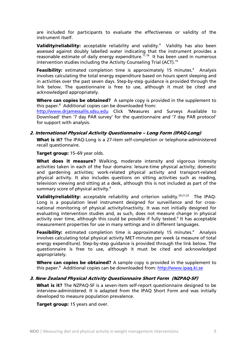are included for participants to evaluate the effectiveness or validity of the instrument itself.

Validity/reliability: acceptable reliability and validity.<sup>4</sup> Validity has also been assessed against doubly labelled water indicating that the instrument provides a reasonable estimate of daily energy expenditure.<sup>17,18</sup> It has been used in numerous intervention studies including the Activity Counseling Trial (ACT).<sup>19</sup>

Feasibility: estimated completion time is approximately 15 minutes.<sup>4</sup> Analysis involves calculating the total energy expenditure based on hours spent sleeping and in activities over the past seven days. Step-by-step guidance is provided through the link below. The questionnaire is free to use, although it must be cited and acknowledged appropriately.

Where can copies be obtained? A sample copy is provided in the supplement to this paper.8 Additional copies can be downloaded from:

http://www.drjamessallis.sdsu.edu Click 'Measures and Surveys Available to Download' then '7 day PAR survey' for the questionnaire and '7 day PAR protocol' for support with analysis.

#### 2. International Physical Activity Questionnaire – Long Form (IPAQ-Long)

What is it? The IPAQ-Long is a 27-item self-completion or telephone-administered recall questionnaire.

Target group: 15-69 year olds.

What does it measure? Walking, moderate intensity and vigorous intensity activities taken in each of the four domains: leisure-time physical activity; domestic and gardening activities; work-related physical activity and transport-related physical activity. It also includes questions on sitting activities such as reading, television viewing and sitting at a desk, although this is not included as part of the summary score of physical activity.<sup>4</sup>

Validity/reliability: acceptable reliability and criterion validity.<sup>20,21,22</sup> The IPAQ-Long is a population level instrument designed for surveillance and for crossnational monitoring of physical activity/inactivity. It was not initially designed for evaluating intervention studies and, as such, does not measure change in physical activity over time, although this could be possible if fully tested.<sup>4</sup> It has acceptable measurement properties for use in many settings and in different languages.

Feasibility: estimated completion time is approximately 15 minutes.<sup>4</sup> Analysis involves calculating total physical activity MET-minutes per week (a measure of total energy expenditure). Step-by-step guidance is provided through the link below. The questionnaire is free to use, although it must be cited and acknowledged appropriately.

Where can copies be obtained? A sample copy is provided in the supplement to this paper.<sup>8</sup> Additional copies can be downloaded from: http://www.ipaq.ki.se

#### 3. New Zealand Physical Activity Questionnaire Short Form (NZPAQ-SF)

What is it? The NZPAQ-SF is a seven-item self-report questionnaire designed to be interview-administered. It is adapted from the IPAQ Short Form and was initially developed to measure population prevalence.

Target group: 15 years and over.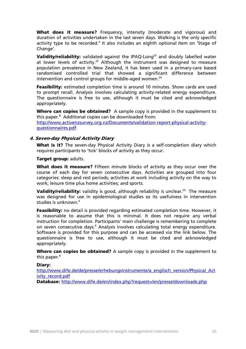What does it measure? Frequency, intensity (moderate and vigorous) and duration of activities undertaken in the last seven days. Walking is the only specific activity type to be recorded.<sup>4</sup> It also includes an eighth optional item on 'Stage of Change'.

Validity/reliability: validated against the IPAQ-Long<sup>23</sup> and doubly labelled water at lower levels of activity.<sup>22</sup> Although the instrument was designed to measure population prevalence in New Zealand, it has been used in a primary-care based randomised controlled trial that showed a significant difference between intervention and control groups for middle-aged women. $24$ 

Feasibility: estimated completion time is around 10 minutes. Show cards are used to prompt recall. Analysis involves calculating activity-related energy expenditure. The questionnaire is free to use, although it must be cited and acknowledged appropriately.

Where can copies be obtained? A sample copy is provided in the supplement to this paper.8 Additional copies can be downloaded from: http://www.activenzsurvey.org.nz/Documents/validation-report-physical-activityguestionnaires.pdf

#### 4. Seven-day Physical Activity Diary

What is it? The seven-day Physical Activity Diary is a self-completion diary which requires participants to 'tick' blocks of activity as they occur.

#### Target group: adults.

What does it measure? Fifteen minute blocks of activity as they occur over the course of each day for seven consecutive days. Activities are grouped into four categories: sleep and rest periods; activities at work including activity on the way to work; leisure time plus home activities; and sports.

Validity/reliability: validity is good, although reliability is unclear.<sup>25</sup> The measure was designed for use in epidemiological studies so its usefulness in intervention studies is unknown.<sup>4</sup>

Feasibility: no detail is provided regarding estimated completion time. However, it is reasonable to assume that this is minimal. It does not require any verbal instruction for completion. Participants' main challenge is remembering to complete on seven consecutive days.<sup>4</sup> Analysis involves calculating total energy expenditure. Software is provided for this purpose and can be accessed via the link below. The questionnaire is free to use, although it must be cited and acknowledged appropriately.

Where can copies be obtained? A sample copy is provided in the supplement to this paper.<sup>8</sup>

#### Diary:

http://www.dife.de/de/presse/erhebungsinstrumente/a\_englisch\_version/Physical\_Act ivity\_record.pdf

Database: http://www.dife.de/en/index.php?request=/en/presse/downloads.php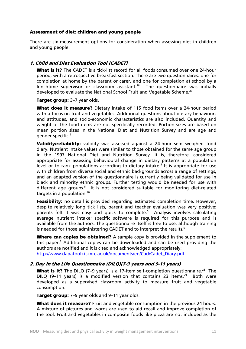#### Assessment of diet: children and young people

There are six measurement options for consideration when assessing diet in children and young people.

#### 1. Child and Diet Evaluation Tool (CADET)

What is it? The CADET is a tick-list record for all foods consumed over one 24-hour period, with a retrospective breakfast section. There are two questionnaires: one for completion at home by the parent or carer, and one for completion at school by a lunchtime supervisor or classroom assistant.<sup>26</sup> The questionnaire was initially developed to evaluate the National School Fruit and Vegetable Scheme.<sup>27</sup>

#### Target group: 3-7 year olds.

What does it measure? Dietary intake of 115 food items over a 24-hour period with a focus on fruit and vegetables. Additional questions about dietary behaviours and attitudes, and socio-economic characteristics are also included. Quantity and weight of the food items are not specifically recorded. Portion sizes are based on mean portion sizes in the National Diet and Nutrition Survey and are age and gender specific.5

Validity/reliability: validity was assessed against a 24-hour semi-weighed food diary. Nutrient intake values were similar to those obtained for the same age group in the 1997 National Diet and Nutrition Survey. It is, therefore, considered appropriate for assessing behavioural change in dietary patterns at a population level or to rank populations according to dietary intake.<sup>5</sup> It is appropriate for use with children from diverse social and ethnic backgrounds across a range of settings, and an adapted version of the questionnaire is currently being validated for use in black and minority ethnic groups. Further testing would be needed for use with different age groups.<sup>5</sup> It is not considered suitable for monitoring diet-related targets in a population. $26$ 

Feasibility: no detail is provided regarding estimated completion time. However, despite relatively long tick lists, parent and teacher evaluation was very positive: parents felt it was easy and quick to complete.<sup>5</sup> Analysis involves calculating average nutrient intake; specific software is required for this purpose and is available from the authors. The questionnaire itself is free to use, although training is needed for those administering CADET and to interpret the results. $5$ 

Where can copies be obtained? A sample copy is provided in the supplement to this paper.<sup>8</sup> Additional copies can be downloaded and can be used providing the authors are notified and it is cited and acknowledged appropriately: http://www.dapatoolkit.mrc.ac.uk/documents/en/Cad/Cadet\_Diary.pdf

#### 2. Day in the Life Questionnaire (DILQ)(7-9 years and 9-11 years)

What is it? The DILQ (7–9 years) is a 17-item self-completion questionnaire.<sup>28</sup> The DILQ (9-11 years) is a modified version that contains 23 items.<sup>29</sup> Both were developed as a supervised classroom activity to measure fruit and vegetable consumption.

Target group: 7-9 year olds and 9-11 year olds.

What does it measure? Fruit and vegetable consumption in the previous 24 hours. A mixture of pictures and words are used to aid recall and improve completion of the tool. Fruit and vegetables in composite foods like pizza are not included as the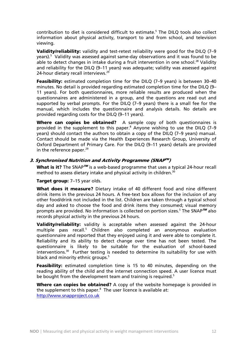contribution to diet is considered difficult to estimate.<sup>5</sup> The DILQ tools also collect information about physical activity, transport to and from school, and television viewing.

Validity/reliability: validity and test-retest reliability were good for the DILQ (7-9 years).<sup>5</sup> Validity was assessed against same-day observations and it was found to be able to detect changes in intake during a fruit intervention in one school.<sup>28</sup> Validity and reliability for the DILQ (9–11 years) was adequate; validity was assessed against 24-hour dietary recall interviews.<sup>29</sup>

Feasibility: estimated completion time for the DILQ (7-9 years) is between 30-40 minutes. No detail is provided regarding estimated completion time for the DILQ (9– 11 years). For both questionnaires, more reliable results are produced when the questionnaires are administered in a group, and the questions are read out and supported by verbal prompts. For the DILQ (7–9 years) there is a small fee for the manual, which includes the questionnaire and analysis details. No details are provided regarding costs for the DILQ (9–11 years).

Where can copies be obtained? A sample copy of both questionnaires is provided in the supplement to this paper.<sup>8</sup> Anyone wishing to use the DILQ (7-9 years) should contact the authors to obtain a copy of the DILQ (7–9 years) manual. Contact should be made via the Health Experiences Research Group, University of Oxford Department of Primary Care. For the DILQ (9–11 years) details are provided in the reference paper. $^{29}$ 

# 3. Synchronised Nutrition and Activity Programme (SNAP™)

What is it? The SNAP<sup>TM</sup> is a web-based programme that uses a typical 24-hour recall method to assess dietary intake and physical activity in children.<sup>30</sup>

Target group: 7-15 year olds.

What does it measure? Dietary intake of 40 different food and nine different drink items in the previous 24 hours. A free-text box allows for the inclusion of any other food/drink not included in the list. Children are taken through a typical school day and asked to choose the food and drink items they consumed; visual memory prompts are provided. No information is collected on portion sizes.<sup>5</sup> The SNAP<sup>TM</sup> also records physical activity in the previous 24 hours.

Validity/reliability: validity is acceptable when assessed against the 24-hour multiple pass recall.<sup>5</sup> Children also completed an anonymous evaluation questionnaire and reported that they enjoyed using it and were able to complete it. Reliability and its ability to detect change over time has not been tested. The questionnaire is likely to be suitable for the evaluation of school-based  $interventions.<sup>30</sup>$  Further testing is needed to determine its suitability for use with black and minority ethnic groups.<sup>5</sup>

Feasibility: estimated completion time is 15 to 40 minutes, depending on the reading ability of the child and the internet connection speed. A user licence must be bought from the development team and training is required.<sup>5</sup>

Where can copies be obtained? A copy of the website homepage is provided in the supplement to this paper. $8$  The user licence is available at: http://www.snapproject.co.uk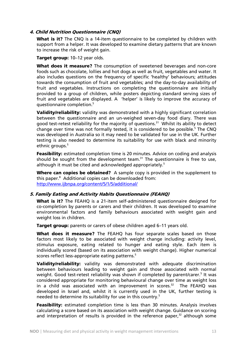#### 4. Child Nutrition Questionnaire (CNQ)

What is it? The CNQ is a 14-item questionnaire to be completed by children with support from a helper. It was developed to examine dietary patterns that are known to increase the risk of weight gain.

Target group: 10-12 year olds.

What does it measure? The consumption of sweetened beverages and non-core foods such as chocolate, lollies and hot dogs as well as fruit, vegetables and water. It also includes questions on the frequency of specific 'healthy' behaviours; attitudes towards the consumption of fruit and vegetables; and the day-to-day availability of fruit and vegetables. Instructions on completing the questionnaire are initially provided to a group of children, while posters depicting standard serving sizes of fruit and vegetables are displayed. A 'helper' is likely to improve the accuracy of questionnaire completion.5

**Validity/reliability:** validity was demonstrated with a highly significant correlation between the questionnaire and an un-weighed seven-day food diary. There was good test-retest reliability for the majority of questions.<sup>31</sup> Whilst its ability to detect change over time was not formally tested, it is considered to be possible.<sup>5</sup> The CNQ was developed in Australia so it may need to be validated for use in the UK. Further testing is also needed to determine its suitability for use with black and minority ethnic groups.<sup>5</sup>

Feasibility: estimated completion time is 20 minutes. Advice on coding and analysis should be sought from the development team.<sup>31</sup> The questionnaire is free to use, although it must be cited and acknowledged appropriately.<sup>5</sup>

Where can copies be obtained? A sample copy is provided in the supplement to this paper.8 Additional copies can be downloaded from: http://www.ijbnpa.org/content/5/1/5/additional/

#### 5. Family Eating and Activity Habits Questionnaire (FEAHQ)

What is it? The FEAHQ is a 21-item self-administered questionnaire designed for co-completion by parents or carers and their children. It was developed to examine environmental factors and family behaviours associated with weight gain and weight loss in children.

**Target group:** parents or carers of obese children aged 6–11 years old.

What does it measure? The FEAHO has four separate scales based on those factors most likely to be associated with weight change including: activity level, stimulus exposure, eating related to hunger and eating style. Each item is individually scored (based on its association with weight change). Higher numerical scores reflect less-appropriate eating patterns.<sup>5</sup>

Validity/reliability: validity was demonstrated with adequate discrimination between behaviours leading to weight gain and those associated with normal weight. Good test-retest reliability was shown if completed by parent/carer.<sup>5</sup> It was considered appropriate for monitoring behavioural change over time as weight loss in a child was associated with an improvement in scores. $32$  The FEAHQ was developed in Israel and, whilst it is currently used in the UK, further testing is needed to determine its suitability for use in this country.<sup>5</sup>

**Feasibility:** estimated completion time is less than 30 minutes. Analysis involves calculating a score based on its association with weight change. Guidance on scoring and interpretation of results is provided in the reference paper, $32$  although some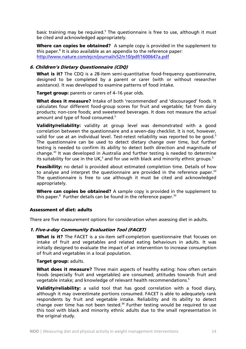basic training may be required.<sup>5</sup> The questionnaire is free to use, although it must be cited and acknowledged appropriately.

Where can copies be obtained? A sample copy is provided in the supplement to this paper.<sup>8</sup> It is also available as an appendix to the reference paper: http://www.nature.com/ejcn/journal/v52/n10/pdf/1600647a.pdf

#### 6. Children's Dietary Questionnaire (CDQ)

What is it? The CDQ is a 28-item semi-quantitative food-frequency questionnaire, designed to be completed by a parent or carer (with or without researcher assistance). It was developed to examine patterns of food intake.

Target group: parents or carers of 4–16 year olds.

What does it measure? Intake of both 'recommended' and 'discouraged' foods. It calculates four different food-group scores for fruit and vegetable; fat from dairy products; non-core foods; and sweetened beverages. It does not measure the actual amount and type of food consumed.<sup>5</sup>

Validity/reliability: validity at group level was demonstrated with a good correlation between the questionnaire and a seven-day checklist. It is not, however, valid for use at an individual level. Test-retest reliability was reported to be good.<sup>5</sup> The questionnaire can be used to detect dietary change over time, but further testing is needed to confirm its ability to detect both direction and magnitude of change.33 It was developed in Australia and further testing is needed to determine its suitability for use in the UK,<sup>5</sup> and for use with black and minority ethnic groups.<sup>5</sup>

Feasibility: no detail is provided about estimated completion time. Details of how to analyse and interpret the questionnaire are provided in the reference paper. $33$ The questionnaire is free to use although it must be cited and acknowledged appropriately.

Where can copies be obtained? A sample copy is provided in the supplement to this paper.<sup>8</sup> Further details can be found in the reference paper.<sup>33</sup>

#### Assessment of diet: adults

There are five measurement options for consideration when assessing diet in adults.

#### 1. Five-a-day Community Evaluation Tool (FACET)

What is it? The FACET is a six-item self-completion questionnaire that focuses on intake of fruit and vegetables and related eating behaviours in adults. It was initially designed to evaluate the impact of an intervention to increase consumption of fruit and vegetables in a local population.

#### Target group: adults.

What does it measure? Three main aspects of healthy eating: how often certain foods (especially fruit and vegetables) are consumed; attitudes towards fruit and vegetable intake; and knowledge of relevant health recommendations.<sup>5</sup>

Validity/reliability: a valid tool that has good correlation with a food diary, although it may overestimate portions consumed. FACET is able to adequately rank respondents by fruit and vegetable intake. Reliability and its ability to detect change over time has not been tested.<sup>34</sup> Further testing would be required to use this tool with black and minority ethnic adults due to the small representation in the original study.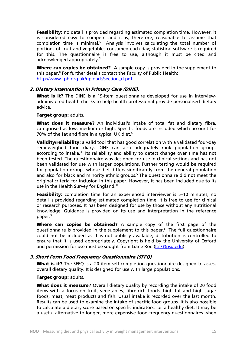Feasibility: no detail is provided regarding estimated completion time. However, it is considered easy to compete and it is, therefore, reasonable to assume that  $completion$  time is minimal.<sup>5</sup> Analysis involves calculating the total number of portions of fruit and vegetables consumed each day; statistical software is required for this. The questionnaire is free to use, although it must be cited and acknowledged appropriately.<sup>5</sup>

Where can copies be obtained? A sample copy is provided in the supplement to this paper.<sup>8</sup> For further details contact the Faculty of Public Health: http://www.fph.org.uk/uploads/section\_d.pdf

#### 2. Dietary Intervention in Primary Care (DINE).

What is it? The DINE is a 19-item questionnaire developed for use in interviewadministered health checks to help health professional provide personalised dietary advice.

#### Target group: adults.

What does it measure? An individual's intake of total fat and dietary fibre, categorised as low, medium or high. Specific foods are included which account for 70% of the fat and fibre in a typical UK diet. $5$ 

Validity/reliability: a valid tool that has good correlation with a validated four-day semi-weighed food diary. DINE can also adequately rank population groups according to intake.<sup>35</sup> Its reliability and ability to detect change over time has not been tested. The questionnaire was designed for use in clinical settings and has not been validated for use with larger populations. Further testing would be required for population groups whose diet differs significantly from the general population and also for black and minority ethnic groups.<sup>5</sup> The questionnaire did not meet the original criteria for inclusion in this paper. However, it has been included due to its use in the Health Survey for England.<sup>36</sup>

Feasibility: completion time for an experienced interviewer is 5-10 minutes; no detail is provided regarding estimated completion time. It is free to use for clinical or research purposes. It has been designed for use by those without any nutritional knowledge. Guidance is provided on its use and interpretation in the reference paper.<sup>5</sup>

Where can copies be obtained? A sample copy of the first page of the questionnaire is provided in the supplement to this paper.8 The full questionnaire could not be included as it is not publicly available; distribution is controlled to ensure that it is used appropriately. Copyright is held by the University of Oxford and permission for use must be sought from Liane Roe (Isr7@psu.edu).

# 3. Short Form Food Frequency Questionnaire (SFFQ)

What is it? The SFFQ is a 20-item self-completion questionnaire designed to assess overall dietary quality. It is designed for use with large populations.

#### Target group: adults.

What does it measure? Overall dietary quality by recording the intake of 20 food items with a focus on fruit, vegetables, fibre-rich foods, high fat and high sugar foods, meat, meat products and fish. Usual intake is recorded over the last month. Results can be used to examine the intake of specific food groups. It is also possible to calculate a dietary score based on specific indicators, i.e. a healthy diet. It may be a useful alternative to longer, more expensive food-frequency questionnaires when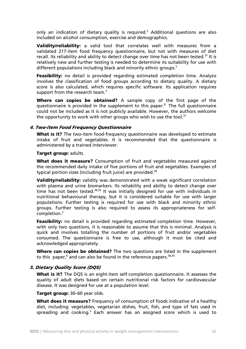only an indication of dietary quality is required.<sup>5</sup> Additional questions are also included on alcohol consumption, exercise and demographics.

Validity/reliability: a valid tool that correlates well with measures from a validated 217-item food frequency questionnaire, but not with measures of diet recall. Its reliability and ability to detect change over time has not been tested.<sup>37</sup> It is relatively new and further testing is needed to determine its suitability for use with different populations including black and minority ethnic groups.<sup>5</sup>

**Feasibility:** no detail is provided regarding estimated completion time. Analysis involves the classification of food groups according to dietary quality. A dietary score is also calculated, which requires specific software. Its application requires support from the research team.<sup>5</sup>

Where can copies be obtained? A sample copy of the first page of the questionnaire is provided in the supplement to this paper.<sup>8</sup> The full questionnaire could not be included as it is not publicly available. However, the authors welcome the opportunity to work with other groups who wish to use the tool. $37$ 

#### 4. Two-item Food Frequency Questionnaire

What is it? The two-item food-frequency questionnaire was developed to estimate intake of fruit and vegetables. It is recommended that the questionnaire is administered by a trained interviewer.

#### Target group: adults.

What does it measure? Consumption of fruit and vegetables measured against the recommended daily intake of five portions of fruit and vegetables. Examples of typical portion sizes (including fruit juice) are provided.<sup>38</sup>

**Validity/reliability:** validity was demonstrated with a weak significant correlation with plasma and urine biomarkers. Its reliability and ability to detect change over time has not been tested. $38,39$  It was initially designed for use with individuals in nutritional behavioural therapy, but it is considered suitable for use with larger populations. Further testing is required for use with black and minority ethnic groups. Further testing is also required to assess its appropriateness for selfcompletion.5

Feasibility: no detail is provided regarding estimated completion time. However, with only two questions, it is reasonable to assume that this is minimal. Analysis is quick and involves totalling the number of portions of fruit and/or vegetables consumed. The questionnaire is free to use, although it must be cited and acknowledged appropriately.

Where can copies be obtained? The two questions are listed in the supplement to this paper,<sup>8</sup> and can also be found in the reference papers.<sup>38,39</sup>

#### 5. Dietary Quality Score (DQS)

What is it? The DQS is an eight-item self-completion questionnaire. It assesses the quality of adult diets based on certain nutritional risk factors for cardiovascular disease. It was designed for use at a population level.

Target group: 30-60 year olds.

What does it measure? Frequency of consumption of foods indicative of a healthy diet, including: vegetables, vegetarian dishes, fruit, fish, and type of fats used in spreading and cooking.<sup>5</sup> Each answer has an assigned score which is used to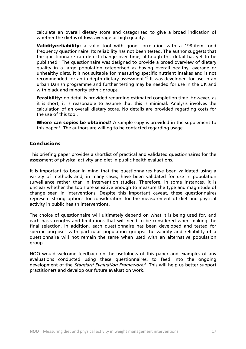calculate an overall dietary score and categorised to give a broad indication of whether the diet is of low, average or high quality.

Validity/reliability: a valid tool with good correlation with a 198-item food frequency questionnaire. Its reliability has not been tested. The author suggests that the questionnaire can detect change over time, although this detail has yet to be published.<sup>5</sup> The questionnaire was designed to provide a broad overview of dietary quality in a large population categorised as having overall healthy, average or unhealthy diets. It is not suitable for measuring specific nutrient intakes and is not recommended for an in-depth dietary assessment.<sup>40</sup> It was developed for use in an urban Danish programme and further testing may be needed for use in the UK and with black and minority ethnic groups.

**Feasibility:** no detail is provided regarding estimated completion time. However, as it is short, it is reasonable to assume that this is minimal. Analysis involves the calculation of an overall dietary score. No details are provided regarding costs for the use of this tool.

Where can copies be obtained? A sample copy is provided in the supplement to this paper.<sup>8</sup> The authors are willing to be contacted regarding usage.

# **Conclusions**

This briefing paper provides a shortlist of practical and validated questionnaires for the assessment of physical activity and diet in public health evaluations.

It is important to bear in mind that the questionnaires have been validated using a variety of methods and, in many cases, have been validated for use in population surveillance rather than in intervention studies. Therefore, in some instances, it is unclear whether the tools are sensitive enough to measure the type and magnitude of change seen in interventions. Despite this important caveat, these questionnaires represent strong options for consideration for the measurement of diet and physical activity in public health interventions.

The choice of questionnaire will ultimately depend on what it is being used for, and each has strengths and limitations that will need to be considered when making the final selection. In addition, each questionnaire has been developed and tested for specific purposes with particular population groups; the validity and reliability of a questionnaire will not remain the same when used with an alternative population group.

NOO would welcome feedback on the usefulness of this paper and examples of any evaluations conducted using these questionnaires, to feed into the ongoing development of the *Standard Evaluation Framework.*<sup>3</sup> This will help us better support practitioners and develop our future evaluation work.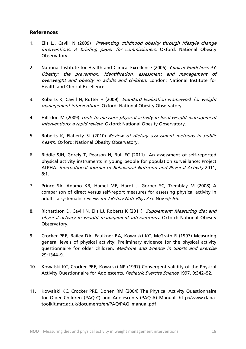# References

- 1. Ells LJ, Cavill N (2009) Preventing childhood obesity through lifestyle change interventions: A briefing paper for commissioners. Oxford: National Obesity Observatory.
- 2. National Institute for Health and Clinical Excellence (2006) Clinical Guidelines 43: Obesity: the prevention, identification, assessment and management of overweight and obesity in adults and children. London: National Institute for Health and Clinical Excellence.
- 3. Roberts K, Cavill N, Rutter H (2009) Standard Evaluation Framework for weight management interventions. Oxford: National Obesity Observatory.
- 4. Hillsdon M (2009) Tools to measure physical activity in local weight management interventions: a rapid review. Oxford: National Obesity Observatory.
- 5. Roberts K, Flaherty SJ (2010) Review of dietary assessment methods in public health. Oxford: National Obesity Observatory.
- 6. Biddle SJH, Gorely T, Pearson N, Bull FC (2011) An assessment of self-reported physical activity instruments in young people for population surveillance: Project ALPHA. International Journal of Behavioral Nutrition and Physical Activity 2011, 8:1.
- 7. Prince SA, Adamo KB, Hamel ME, Hardt J, Gorber SC, Tremblay M (2008) A comparison of direct versus self-report measures for assessing physical activity in adults: a systematic review. Int J Behav Nutr Phys Act. Nov 6;5:56.
- 8. Richardson D, Cavill N, Ells LJ, Roberts K (2011) Supplement: Measuring diet and physical activity in weight management interventions. Oxford: National Obesity Observatory.
- 9. Crocker PRE, Bailey DA, Faulkner RA, Kowalski KC, McGrath R (1997) Measuring general levels of physical activity: Preliminary evidence for the physical activity questionnaire for older children. Medicine and Science in Sports and Exercise 29:1344–9.
- 10. Kowalski KC, Crocker PRE, Kowalski NP (1997) Convergent validity of the Physical Activity Questionnaire for Adolescents. Pediatric Exercise Science 1997, 9:342–52.
- 11. Kowalski KC, Crocker PRE, Donen RM (2004) The Physical Activity Questionnaire for Older Children (PAQ-C) and Adolescents (PAQ-A) Manual. http://www.dapatoolkit.mrc.ac.uk/documents/en/PAQ/PAQ\_manual.pdf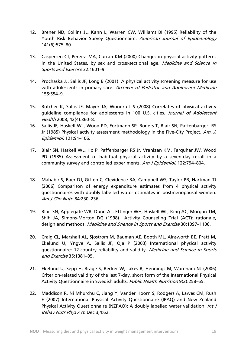- 12. Brener ND, Collins JL, Kann L, Warren CW, Williams BI (1995) Reliability of the Youth Risk Behavior Survey Questionnaire. American Journal of Epidemiology 141(6):575–80.
- 13. Caspersen CJ, Pereira MA, Curran KM (2000) Changes in physical activity patterns in the United States, by sex and cross-sectional age. Medicine and Science in Sports and Exercise 32:1601–9.
- 14. Prochaska JJ, Sallis JF, Long B (2001) A physical activity screening measure for use with adolescents in primary care. Archives of Pediatric and Adolescent Medicine 155:554–9.
- 15. Butcher K, Sallis JF, Mayer JA, Woodruff S (2008) Correlates of physical activity guideline compliance for adolescents in 100 U.S. cities. Journal of Adolescent Health 2008, 42(4):360–8.
- 16. Sallis JF, Haskell WL, Wood PD, Fortmann SP, Rogers T, Blair SN, Paffenbarger RS Jr (1985) Physical activity assessment methodology in the Five-City Project. Am. J. Epidemiol. 121:91–106.
- 17. Blair SN, Haskell WL, Ho P, Paffenbarger RS Jr, Vranizan KM, Farquhar JW, Wood PD (1985) Assessment of habitual physical activity by a seven-day recall in a community survey and controlled experiments. Am J Epidemiol. 122:794–804.
- 18. Mahabir S, Baer DJ, Giffen C, Clevidence BA, Campbell WS, Taylor PR, Hartman TJ (2006) Comparison of energy expenditure estimates from 4 physical activity questionnaires with doubly labelled water estimates in postmenopausal women. Am J Clin Nutr. 84:230–236.
- 19. Blair SN, Applegate WB, Dunn AL, Ettinger WH, Haskell WL, King AC, Morgan TM, Shih JA, Simons-Morton DG (1998) Activity Counseling Trial (ACT): rationale, design and methods. Medicine and Science in Sports and Exercise 30:1097–1106.
- 20. Craig CL, Marshall AL, Sjostrom M, Bauman AE, Booth ML, Ainsworth BE, Pratt M, Ekelund U, Yngve A, Sallis JF, Oja P (2003) International physical activity questionnaire: 12-country reliability and validity. Medicine and Science in Sports and Exercise 35:1381–95.
- 21. Ekelund U, Sepp H, Brage S, Becker W, Jakes R, Hennings M, Wareham NJ (2006) Criterion-related validity of the last 7-day, short form of the International Physical Activity Questionnaire in Swedish adults. Public Health Nutrition 9(2):258–65.
- 22. Maddison R, Ni Mhurchu C, Jiang Y, Vander Hoorn S, Rodgers A, Lawes CM, Rush E (2007) International Physical Activity Questionnaire (IPAQ) and New Zealand Physical Activity Questionnaire (NZPAQ): A doubly labelled water validation. Int J Behav Nutr Phys Act. Dec 3;4:62.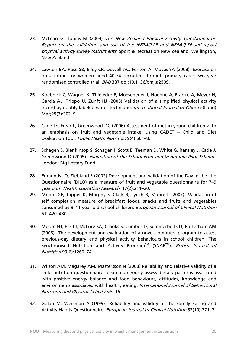- 23. McLean G, Tobias M (2004) The New Zealand Physical Activity Questionnaires: Report on the validation and use of the NZPAQ-LF and NZPAQ-SF self-report physical activity survey instruments. Sport & Recreation New Zealand, Wellington, New Zealand.
- 24. Lawton BA, Rose SB, Elley CR, Dowell AC, Fenton A, Moyes SA (2008) Exercise on prescription for women aged 40-74 recruited through primary care: two year randomised controlled trial. BMJ 337.doi:10.1136/bmj.a2509.
- 25. Koebnick C, Wagner K, Thielecke F, Moeseneder J, Hoehne A, Franke A, Meyer H, Garcia AL, Trippo U, Zunft HJ (2005) Validation of a simplified physical activity record by doubly labeled water technique. International Journal of Obesity (Lond) Mar;29(3):302–9.
- 26. Cade JE, Frear L, Greenwood DC (2006) Assessment of diet in young children with an emphasis on fruit and vegetable intake: using CADET – Child and Diet Evaluation Tool. Public Health Nutrition 9(4):501–8.
- 27. Schagen S, Blenkinsop S, Schagen I, Scott E, Teeman D, White G, Ransley J, Cade J, Greenwood D (2005) Evaluation of the School Fruit and Vegetable Pilot Scheme. London: Big Lottery Fund.
- 28. Edmunds LD, Ziebland S (2002) Development and validation of the Day in the Life Questionnaire (DILQ) as a measure of fruit and vegetable questionnaire for 7–9 year olds. Health Education Research 17(2):211–20.
- 29. Moore GF, Tapper K, Murphy S, Clark R, Lynch R, Moore L (2007) Validation of self completion measure of breakfast foods, snacks and fruits and vegetables consumed by 9–11 year old school children. European Journal of Clinical Nutrition 61, 420–430.
- 30. Moore HJ, Ells LJ, McLure SA, Crooks S, Cumbor D, Summerbell CD, Batterham AM (2008) The development and evaluation of a novel computer program to assess previous-day dietary and physical activity behaviours in school children: The Synchronised Nutrition and Activity Program<sup>TM</sup> (SNAP<sup>TM</sup>). British Journal of Nutrition 99(6):1266–74.
- 31. Wilson AM, Magarey AM, Mastersson N (2008) Reliability and relative validity of a child nutrition questionnaire to simultaneously assess dietary patterns associated with positive energy balance and food behaviours, attitudes, knowledge and environments associated with healthy eating. International Journal of Behavioural Nutrition and Physical Activity 5:5–16
- 32. Golan M, Weizman A (1999) Reliability and validity of the Family Eating and Activity Habits Questionnaire. European Journal of Clinical Nutrition 52(10):771-7.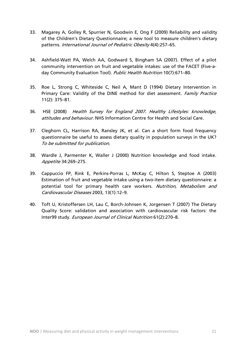- 33. Magarey A, Golley R, Spurrier N, Goodwin E, Ong F (2009) Reliability and validity of the Children's Dietary Questionnaire; a new tool to measure children's dietary patterns. International Journal of Pediatric Obesity 4(4):257–65.
- 34. Ashfield-Watt PA, Welch AA, Godward S, Bingham SA (2007). Effect of a pilot community intervention on fruit and vegetable intakes: use of the FACET (Five-aday Community Evaluation Tool). Public Health Nutrition 10(7):671-80.
- 35. Roe L, Strong C, Whiteside C, Neil A, Mant D (1994) Dietary Intervention in Primary Care: Validity of the DINE method for diet assessment. Family Practice 11(2): 375–81.
- 36. HSE (2008) Health Survey for England 2007. Healthy Lifestyles: knowledge, attitudes and behaviour. NHS Information Centre for Health and Social Care.
- 37. Cleghorn CL, Harrison RA, Ransley JK, et al. Can a short form food frequency questionnaire be useful to assess dietary quality in population surveys in the UK? To be submitted for publication.
- 38. Wardle J, Parmenter K, Waller J (2000) Nutrition knowledge and food intake. Appetite 34:269–275.
- 39. Cappuccio FP, Rink E, Perkins-Porras L, McKay C, Hilton S, Steptoe A (2003) Estimation of fruit and vegetable intake using a two-item dietary questionnaire: a potential tool for primary health care workers. Nutrition, Metabolism and Cardiovascular Diseases 2003, 13(1):12–9.
- 40. Toft U, Kristoffersen LH, Lau C, Borch-Johnsen K, Jorgensen T (2007) The Dietary Quality Score: validation and association with cardiovascular risk factors: the Inter99 study. European Journal of Clinical Nutrition 61(2):270–8.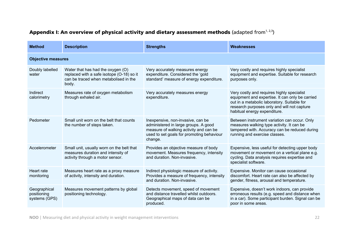| <b>Method</b>                                | <b>Description</b>                                                                                                               | <b>Strengths</b>                                                                                                                                                            | <b>Weaknesses</b>                                                                                                                                                                                                           |  |  |
|----------------------------------------------|----------------------------------------------------------------------------------------------------------------------------------|-----------------------------------------------------------------------------------------------------------------------------------------------------------------------------|-----------------------------------------------------------------------------------------------------------------------------------------------------------------------------------------------------------------------------|--|--|
| <b>Objective measures</b>                    |                                                                                                                                  |                                                                                                                                                                             |                                                                                                                                                                                                                             |  |  |
| Doubly labelled<br>water                     | Water that has had the oxygen (O)<br>replaced with a safe isotope (O-18) so it<br>can be traced when metabolised in the<br>body. | Very accurately measures energy<br>expenditure. Considered the 'gold<br>standard' measure of energy expenditure.                                                            | Very costly and requires highly specialist<br>equipment and expertise. Suitable for research<br>purposes only.                                                                                                              |  |  |
| Indirect<br>calorimetry                      | Measures rate of oxygen metabolism<br>through exhaled air.                                                                       | Very accurately measures energy<br>expenditure.                                                                                                                             | Very costly and requires highly specialist<br>equipment and expertise. It can only be carried<br>out in a metabolic laboratory. Suitable for<br>research purposes only and will not capture<br>habitual energy expenditure. |  |  |
| Pedometer                                    | Small unit worn on the belt that counts<br>the number of steps taken.                                                            | Inexpensive, non-invasive, can be<br>administered in large groups. A good<br>measure of walking activity and can be<br>used to set goals for promoting behaviour<br>change. | Between instrument variation can occur. Only<br>measures walking type activity. It can be<br>tampered with. Accuracy can be reduced during<br>running and exercise classes.                                                 |  |  |
| Accelerometer                                | Small unit, usually worn on the belt that<br>measures duration and intensity of<br>activity through a motor sensor.              | Provides an objective measure of body<br>movement. Measures frequency, intensity<br>and duration. Non-invasive.                                                             | Expensive, less useful for detecting upper body<br>movement or movement on a vertical plane e.g.<br>cycling. Data analysis requires expertise and<br>specialist software.                                                   |  |  |
| Heart rate<br>monitoring                     | Measures heart rate as a proxy measure<br>of activity, intensity and duration.                                                   | Indirect physiologic measure of activity.<br>Provides a measure of frequency, intensity<br>and duration. Non-invasive.                                                      | Expensive. Monitor can cause occasional<br>discomfort. Heart rate can also be affected by<br>gender, fitness, arousal and temperature.                                                                                      |  |  |
| Geographical<br>positioning<br>systems (GPS) | Measures movement patterns by global<br>positioning technology.                                                                  | Detects movement, speed of movement<br>and distance travelled whilst outdoors.<br>Geographical maps of data can be<br>produced.                                             | Expensive, doesn't work indoors, can provide<br>erroneous results (e.g. speed and distance when<br>in a car). Some participant burden. Signal can be<br>poor in some areas.                                                 |  |  |

# Appendix I: An overview of physical activity and dietary assessment methods (adapted from<sup>1, 2,3</sup>)

**NOO** | Measuring diet and physical activity in weight management interventions 22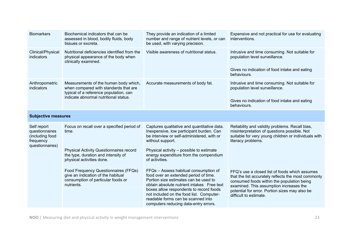| <b>Biomarkers</b>                                                                | Biochemical indicators that can be<br>assessed in blood, bodily fluids, body<br>tissues or excreta.                                                               | They provide an indication of a limited<br>number and range of nutrient levels, or can<br>be used, with varying precision.                                                                                                                                                                                                                  | Expensive and not practical for use for evaluating<br>interventions.                                                                                                                                                                                                       |  |
|----------------------------------------------------------------------------------|-------------------------------------------------------------------------------------------------------------------------------------------------------------------|---------------------------------------------------------------------------------------------------------------------------------------------------------------------------------------------------------------------------------------------------------------------------------------------------------------------------------------------|----------------------------------------------------------------------------------------------------------------------------------------------------------------------------------------------------------------------------------------------------------------------------|--|
| Clinical/Physical<br>indicators                                                  | Nutritional deficiencies identified from the<br>physical appearance of the body when<br>clinically examined.                                                      | Visible awareness of nutritional status.                                                                                                                                                                                                                                                                                                    | Intrusive and time consuming. Not suitable for<br>population level surveillance.<br>Gives no indication of food intake and eating                                                                                                                                          |  |
|                                                                                  |                                                                                                                                                                   |                                                                                                                                                                                                                                                                                                                                             | behaviours.                                                                                                                                                                                                                                                                |  |
| Anthropometric<br>indicators                                                     | Measurements of the human body which,<br>when compared with standards that are<br>typical of a reference population, can<br>indicate abnormal nutritional status. | Accurate measurements of body fat.                                                                                                                                                                                                                                                                                                          | Intrusive and time consuming. Not suitable for<br>population level surveillance.                                                                                                                                                                                           |  |
|                                                                                  |                                                                                                                                                                   |                                                                                                                                                                                                                                                                                                                                             | Gives no indication of food intake and eating<br>behaviours.                                                                                                                                                                                                               |  |
| <b>Subjective measures</b>                                                       |                                                                                                                                                                   |                                                                                                                                                                                                                                                                                                                                             |                                                                                                                                                                                                                                                                            |  |
| Self report<br>questionnaires<br>(including food<br>frequency<br>questionnaires) | Focus on recall over a specified period of<br>time.                                                                                                               | Captures qualitative and quantitative data.<br>Inexpensive, low participant burden. Can<br>be interview or self-administered, with or<br>without support.                                                                                                                                                                                   | Reliability and validity problems. Recall bias,<br>misinterpretation of questions possible. Not<br>suitable for very young children or individuals with<br>literacy problems.                                                                                              |  |
|                                                                                  | <b>Physical Activity Questionnaires record</b><br>the type, duration and intensity of<br>physical activities done.                                                | Physical activity - possible to estimate<br>energy expenditure from the compendium<br>of activities.                                                                                                                                                                                                                                        |                                                                                                                                                                                                                                                                            |  |
|                                                                                  | Food Frequency Questionnaires (FFQs)<br>give an indication of the habitual<br>consumption of particular foods or<br>nutrients.                                    | FFQs - Assess habitual consumption of<br>food over an extended period of time.<br>Portion size estimates can be used to<br>obtain absolute nutrient intakes Free text<br>boxes allow respondents to record foods<br>not included on the food list. Computer-<br>readable forms can be scanned into<br>computers reducing data-entry errors. | FFQ's use a closed list of foods which assumes<br>that the list accurately reflects the most commonly<br>consumed foods within the population being<br>examined. This assumption increases the<br>potential for error. Portion sizes may also be<br>difficult to estimate. |  |

**NOO** | Measuring diet and physical activity in weight management interventions 23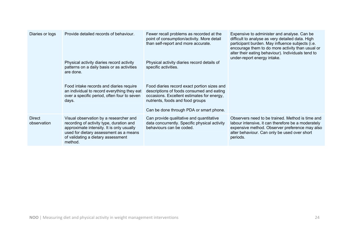| Diaries or logs              | Provide detailed records of behaviour.<br>Physical activity diaries record activity<br>patterns on a daily basis or as activities<br>are done.<br>Food intake records and diaries require<br>an individual to record everything they eat<br>over a specific period, often four to seven<br>days. | Fewer recall problems as recorded at the<br>point of consumption/activity. More detail<br>than self-report and more accurate.<br>Physical activity diaries record details of<br>specific activities.<br>Food diaries record exact portion sizes and<br>descriptions of foods consumed and eating<br>occasions. Excellent estimates for energy,<br>nutrients, foods and food groups<br>Can be done through PDA or smart phone. | Expensive to administer and analyse. Can be<br>difficult to analyse as very detailed data. High<br>participant burden. May influence subjects (i.e.<br>encourage them to do more activity than usual or<br>alter their eating behaviour). Individuals tend to<br>under-report energy intake. |
|------------------------------|--------------------------------------------------------------------------------------------------------------------------------------------------------------------------------------------------------------------------------------------------------------------------------------------------|-------------------------------------------------------------------------------------------------------------------------------------------------------------------------------------------------------------------------------------------------------------------------------------------------------------------------------------------------------------------------------------------------------------------------------|----------------------------------------------------------------------------------------------------------------------------------------------------------------------------------------------------------------------------------------------------------------------------------------------|
| <b>Direct</b><br>observation | Visual observation by a researcher and<br>recording of activity type, duration and<br>approximate intensity. It is only usually<br>used for dietary assessment as a means<br>of validating a dietary assessment<br>method.                                                                       | Can provide qualitative and quantitative<br>data concurrently. Specific physical activity<br>behaviours can be coded.                                                                                                                                                                                                                                                                                                         | Observers need to be trained. Method is time and<br>labour intensive, it can therefore be a moderately<br>expensive method. Observer preference may also<br>alter behaviour. Can only be used over short<br>periods.                                                                         |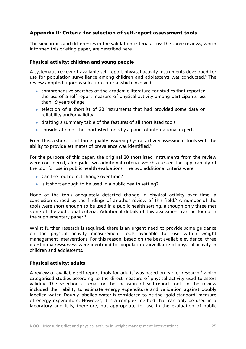# Appendix II: Criteria for selection of self-report assessment tools

The similarities and differences in the validation criteria across the three reviews, which informed this briefing paper, are described here.

#### Physical activity: children and young people

A systematic review of available self-report physical activity instruments developed for use for population surveillance among children and adolescents was conducted.<sup>4</sup> The review adopted rigorous selection criteria which involved:

- comprehensive searches of the academic literature for studies that reported the use of a self-report measure of physical activity among participants less than 19 years of age
- selection of a shortlist of 20 instruments that had provided some data on reliability and/or validity
- drafting a summary table of the features of all shortlisted tools
- consideration of the shortlisted tools by a panel of international experts

From this, a shortlist of three quality-assured physical activity assessment tools with the ability to provide estimates of prevalence was identified.<sup>4</sup>

For the purpose of this paper, the original 20 shortlisted instruments from the review were considered, alongside two additional criteria, which assessed the applicability of the tool for use in public health evaluations. The two additional criteria were:

- Can the tool detect change over time?
- Is it short enough to be used in a public health setting?

None of the tools adequately detected change in physical activity over time: a conclusion echoed by the findings of another review of this field.<sup>5</sup> A number of the tools were short enough to be used in a public health setting, although only three met some of the additional criteria. Additional details of this assessment can be found in the supplementary paper.<sup>6</sup>

Whilst further research is required, there is an urgent need to provide some guidance on the physical activity measurement tools available for use within weight management interventions. For this reason, based on the best available evidence, three questionnaires/surveys were identified for population surveillance of physical activity in children and adolescents.

# Physical activity: adults

A review of available self-report tools for adults<sup>7</sup> was based on earlier research,<sup>8</sup> which categorised studies according to the direct measure of physical activity used to assess validity. The selection criteria for the inclusion of self-report tools in the review included their ability to estimate energy expenditure and validation against doubly labelled water. Doubly labelled water is considered to be the 'gold standard' measure of energy expenditure. However, it is a complex method that can only be used in a laboratory and it is, therefore, not appropriate for use in the evaluation of public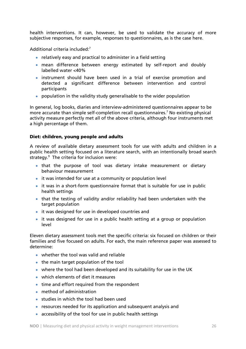health interventions. It can, however, be used to validate the accuracy of more subjective responses, for example, responses to questionnaires, as is the case here.

Additional criteria included: $7$ 

- relatively easy and practical to administer in a field setting
- mean difference between energy estimated by self-report and doubly labelled water <40%
- instrument should have been used in a trial of exercise promotion and detected a significant difference between intervention and control participants
- population in the validity study generalisable to the wider population

In general, log books, diaries and interview-administered questionnaires appear to be more accurate than simple self-completion recall questionnaires.<sup>7</sup> No existing physical activity measure perfectly met all of the above criteria, although four instruments met a high percentage of them.

#### Diet: children, young people and adults

A review of available dietary assessment tools for use with adults and children in a public health setting focused on a literature search, with an intentionally broad search strategy.9 The criteria for inclusion were:

- that the purpose of tool was dietary intake measurement or dietary behaviour measurement
- it was intended for use at a community or population level
- it was in a short-form questionnaire format that is suitable for use in public health settings
- that the testing of validity and/or reliability had been undertaken with the target population
- it was designed for use in developed countries and
- it was designed for use in a public health setting at a group or population level

Eleven dietary assessment tools met the specific criteria: six focused on children or their families and five focused on adults. For each, the main reference paper was assessed to determine:

- whether the tool was valid and reliable
- the main target population of the tool
- where the tool had been developed and its suitability for use in the UK
- which elements of diet it measures
- time and effort required from the respondent
- method of administration
- studies in which the tool had been used
- resources needed for its application and subsequent analysis and
- accessibility of the tool for use in public health settings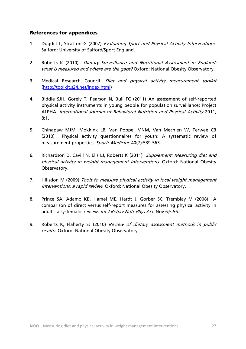# References for appendices

- 1. Dugdill L, Stratton G (2007) Evaluating Sport and Physical Activity Interventions. Salford: University of Salford/Sport England.
- 2. Roberts K (2010) Dietary Surveillance and Nutritional Assessment in England: what is measured and where are the gaps? Oxford: National Obesity Observatory.
- 3. Medical Research Council. Diet and physical activity measurement toolkit (http://toolkit.s24.net/index.html)
- 4. Biddle SJH, Gorely T, Pearson N, Bull FC (2011) An assessment of self-reported physical activity instruments in young people for population surveillance: Project ALPHA. International Journal of Behavioral Nutrition and Physical Activity 2011, 8:1.
- 5. Chinapaw MJM, Mokkink LB, Van Poppel MNM, Van Mechlen W, Terwee CB (2010) Physical activity questionnaires for youth: A systematic review of measurement properties. Sports Medicine 40(7):539-563.
- 6. Richardson D, Cavill N, Ells LJ, Roberts K (2011) Supplement: Measuring diet and physical activity in weight management interventions. Oxford: National Obesity Observatory.
- 7. Hillsdon M (2009) Tools to measure physical activity in local weight management interventions: a rapid review. Oxford: National Obesity Observatory.
- 8. Prince SA, Adamo KB, Hamel ME, Hardt J, Gorber SC, Tremblay M (2008) A comparison of direct versus self-report measures for assessing physical activity in adults: a systematic review. Int J Behav Nutr Phys Act. Nov 6;5:56.
- 9. Roberts K, Flaherty SJ (2010) Review of dietary assessment methods in public health. Oxford: National Obesity Observatory.